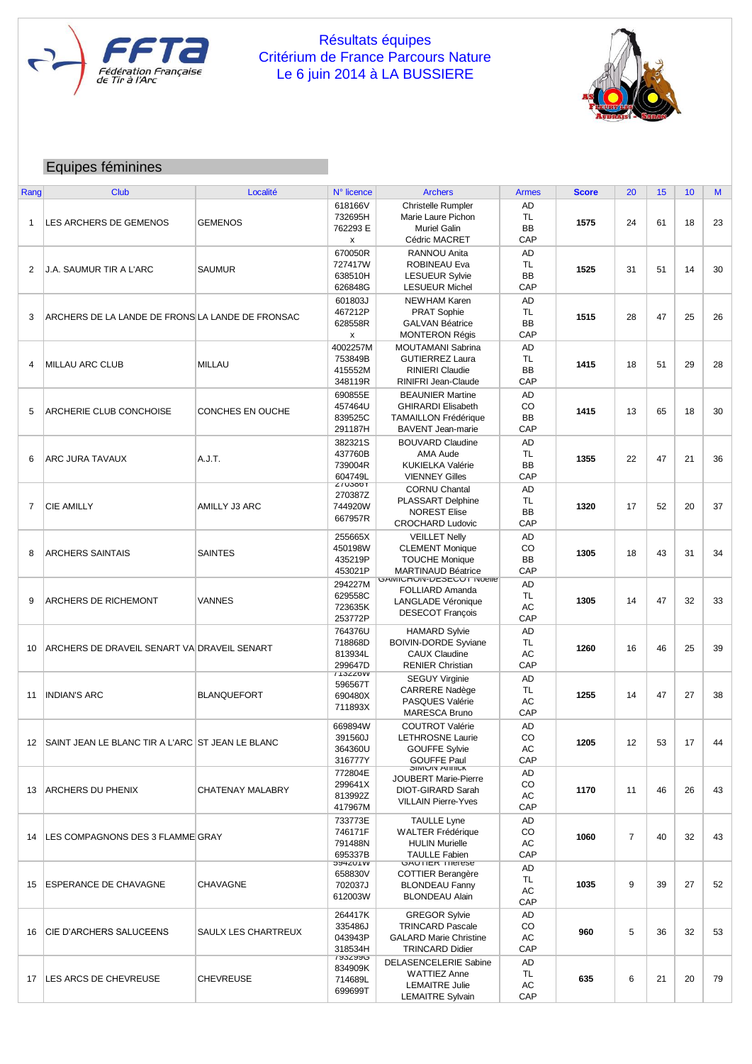

## Résultats équipes Critérium de France Parcours Nature Le 6 juin 2014 à LA BUSSIERE



## Equipes féminines

| Rang           | <b>Club</b>                                      | Localité            | N° licence                             | <b>Archers</b>                | <b>Armes</b> | <b>Score</b> | 20             | 15 | 10 | M  |
|----------------|--------------------------------------------------|---------------------|----------------------------------------|-------------------------------|--------------|--------------|----------------|----|----|----|
|                |                                                  |                     | 618166V                                | Christelle Rumpler            | AD           |              |                |    |    |    |
|                |                                                  |                     | 732695H                                | Marie Laure Pichon            | TL           |              |                |    |    |    |
| $\mathbf{1}$   | LES ARCHERS DE GEMENOS                           | <b>GEMENOS</b>      | 762293 E                               | <b>Muriel Galin</b>           | <b>BB</b>    | 1575         | 24             | 61 | 18 | 23 |
|                |                                                  |                     | x                                      | Cédric MACRET                 | CAP          |              |                |    |    |    |
|                |                                                  |                     |                                        |                               |              |              |                |    |    |    |
|                |                                                  |                     | 670050R                                | <b>RANNOU Anita</b>           | AD           |              |                |    |    |    |
| $\overline{2}$ | J.A. SAUMUR TIR A L'ARC                          | <b>SAUMUR</b>       | 727417W                                | <b>ROBINEAU Eva</b>           | TL           | 1525         | 31             | 51 | 14 | 30 |
|                |                                                  |                     | 638510H                                | <b>LESUEUR Sylvie</b>         | <b>BB</b>    |              |                |    |    |    |
|                |                                                  |                     | 626848G                                | <b>LESUEUR Michel</b>         | CAP          |              |                |    |    |    |
|                |                                                  |                     | 601803J                                | <b>NEWHAM Karen</b>           | AD           |              |                |    |    |    |
| 3              | ARCHERS DE LA LANDE DE FRONS LA LANDE DE FRONSAC |                     | 467212P                                | PRAT Sophie                   | TL           | 1515         | 28             | 47 | 25 | 26 |
|                |                                                  |                     | 628558R                                | <b>GALVAN Béatrice</b>        | <b>BB</b>    |              |                |    |    |    |
|                |                                                  |                     | x                                      | <b>MONTERON Régis</b>         | CAP          |              |                |    |    |    |
|                |                                                  |                     | 4002257M                               | <b>MOUTAMANI Sabrina</b>      | <b>AD</b>    |              |                |    |    |    |
| 4              | <b>MILLAU ARC CLUB</b>                           | <b>MILLAU</b>       | 753849B                                | <b>GUTIERREZ Laura</b>        | TL           | 1415         | 18             | 51 | 29 | 28 |
|                |                                                  |                     | 415552M                                | <b>RINIERI Claudie</b>        | <b>BB</b>    |              |                |    |    |    |
|                |                                                  |                     | 348119R                                | RINIFRI Jean-Claude           | CAP          |              |                |    |    |    |
|                |                                                  |                     | 690855E                                | <b>BEAUNIER Martine</b>       | <b>AD</b>    |              |                |    |    |    |
|                |                                                  |                     | 457464U                                | <b>GHIRARDI Elisabeth</b>     | CO           |              |                |    |    |    |
| 5              | ARCHERIE CLUB CONCHOISE                          | CONCHES EN OUCHE    | 839525C                                | <b>TAMAILLON Frédérique</b>   | <b>BB</b>    | 1415         | 13             | 65 | 18 | 30 |
|                |                                                  |                     | 291187H                                | <b>BAVENT Jean-marie</b>      | CAP          |              |                |    |    |    |
|                |                                                  |                     | 382321S                                | <b>BOUVARD Claudine</b>       | AD           |              |                |    |    |    |
|                |                                                  |                     | 437760B                                | AMA Aude                      | <b>TL</b>    | 1355         |                |    |    | 36 |
| 6              | ARC JURA TAVAUX                                  | A.J.T.              |                                        |                               |              |              | 22             | 47 | 21 |    |
|                |                                                  |                     | 739004R                                | KUKIELKA Valérie              | <b>BB</b>    |              |                |    |    |    |
|                |                                                  |                     | 604749L<br>2103001                     | <b>VIENNEY Gilles</b>         | CAP          |              |                |    |    |    |
|                |                                                  |                     | 270387Z                                | <b>CORNU Chantal</b>          | AD           |              | 17             |    |    | 37 |
| $\overline{7}$ | <b>CIE AMILLY</b>                                | AMILLY J3 ARC       | 744920W                                | PLASSART Delphine             | TL           | 1320         |                | 52 | 20 |    |
|                |                                                  |                     | 667957R                                | <b>NOREST Elise</b>           | <b>BB</b>    |              |                |    |    |    |
|                |                                                  |                     |                                        | <b>CROCHARD Ludovic</b>       | CAP          |              |                |    |    |    |
|                |                                                  |                     | 255665X                                | <b>VEILLET Nelly</b>          | AD           |              |                |    |    |    |
|                |                                                  |                     | 450198W                                | <b>CLEMENT Monique</b>        | CO           |              |                |    |    |    |
| 8              | <b>ARCHERS SAINTAIS</b>                          | <b>SAINTES</b>      | 435219P                                | <b>TOUCHE Monique</b>         | <b>BB</b>    | 1305         | 18             | 43 | 31 | 34 |
|                |                                                  |                     | 453021P                                | <b>MARTINAUD Béatrice</b>     | CAP          |              |                |    |    |    |
|                |                                                  |                     | 294227M                                | UAIVIIUMUN-DESEUUT NOBIIB     | AD           |              |                |    |    |    |
|                |                                                  |                     | 629558C                                | FOLLIARD Amanda               | TL           |              |                |    |    |    |
| 9              | ARCHERS DE RICHEMONT                             | VANNES              | 723635K                                | <b>LANGLADE Véronique</b>     | AC           | 1305         | 14             | 47 | 32 | 33 |
|                |                                                  |                     | 253772P                                | <b>DESECOT François</b>       | CAP          |              |                |    |    |    |
|                |                                                  |                     |                                        |                               |              |              |                |    |    |    |
|                | ARCHERS DE DRAVEIL SENART VA DRAVEIL SENART      |                     | 764376U                                | <b>HAMARD Sylvie</b>          | AD           |              |                |    |    |    |
| 10             |                                                  |                     | 718868D                                | <b>BOIVIN-DORDE Syviane</b>   | TL           | 1260         | 16             | 46 | 25 | 39 |
|                |                                                  |                     | 813934L                                | <b>CAUX Claudine</b>          | AC           |              |                |    |    |    |
|                |                                                  |                     | 299647D<br><b>I I JZZOVV</b>           | <b>RENIER Christian</b>       | CAP          |              |                |    |    |    |
|                | <b>INDIAN'S ARC</b>                              | <b>BLANQUEFORT</b>  | 596567T                                | <b>SEGUY Virginie</b>         | AD           |              | 14             |    |    |    |
| 11             |                                                  |                     | 690480X                                | <b>CARRERE Nadège</b>         | TL           | 1255         |                | 47 | 27 | 38 |
|                |                                                  |                     | 711893X                                | PASQUES Valérie               | AC           |              |                |    |    |    |
|                |                                                  |                     |                                        | <b>MARESCA Bruno</b>          | CAP          |              |                |    |    |    |
|                |                                                  |                     | 669894W                                | <b>COUTROT Valérie</b>        | AD           |              |                |    |    |    |
| 12             | SAINT JEAN LE BLANC TIR A L'ARC ST JEAN LE BLANC |                     | 391560J                                | <b>LETHROSNE Laurie</b>       | CO           | 1205         | 12             | 53 | 17 | 44 |
|                |                                                  |                     | 364360U                                | GOUFFE Sylvie                 | АC           |              |                |    |    |    |
|                |                                                  |                     | 316777Y                                | <b>GOUFFE Paul</b>            | CAP          |              |                |    |    |    |
|                |                                                  |                     | 772804E                                | <b>SIIVIUIV AITIICK</b>       | AD           |              |                |    |    |    |
|                |                                                  |                     | 299641X                                | <b>JOUBERT Marie-Pierre</b>   | CO           |              |                |    |    |    |
| 13             | <b>ARCHERS DU PHENIX</b>                         | CHATENAY MALABRY    | 813992Z                                | DIOT-GIRARD Sarah             | AC           | 1170         | 11             | 46 | 26 | 43 |
|                |                                                  |                     | 417967M                                | <b>VILLAIN Pierre-Yves</b>    | CAP          |              |                |    |    |    |
|                |                                                  |                     | 733773E                                | <b>TAULLE Lyne</b>            | AD           |              |                |    |    |    |
|                |                                                  |                     | 746171F                                | <b>WALTER Frédérique</b>      | CO           |              |                |    |    |    |
| 14             | LES COMPAGNONS DES 3 FLAMME GRAY                 |                     | 791488N                                | <b>HULIN Murielle</b>         | AC           | 1060         | $\overline{7}$ | 40 | 32 | 43 |
|                |                                                  |                     | 695337B                                | <b>TAULLE Fabien</b>          | CAP          |              |                |    |    |    |
|                |                                                  |                     | <b>DAHSO1</b>                          | <b>UAUTIER INDIESE</b>        |              |              |                |    |    |    |
|                |                                                  |                     | 658830V                                | <b>COTTIER Berangère</b>      | AD           |              |                |    |    |    |
| 15             | <b>ESPERANCE DE CHAVAGNE</b>                     | <b>CHAVAGNE</b>     | 702037J                                | <b>BLONDEAU Fanny</b>         | TL.          | 1035         | 9              | 39 | 27 | 52 |
|                |                                                  |                     | AC<br><b>BLONDEAU Alain</b><br>612003W |                               |              |              |                |    |    |    |
|                |                                                  |                     |                                        |                               | CAP          |              |                |    |    |    |
|                |                                                  |                     | 264417K                                | <b>GREGOR Sylvie</b>          | AD           |              |                |    |    |    |
| 16             | CIE D'ARCHERS SALUCEENS                          | SAULX LES CHARTREUX | 335486J                                | <b>TRINCARD Pascale</b>       | CO           | 960          | 5              | 36 | 32 | 53 |
|                |                                                  |                     | 043943P                                | <b>GALARD Marie Christine</b> | AC           |              |                |    |    |    |
|                |                                                  |                     | 318534H                                | <b>TRINCARD Didier</b>        | CAP          |              |                |    |    |    |
|                |                                                  |                     | ∩ המגדפר                               | <b>DELASENCELERIE Sabine</b>  | AD           |              |                |    |    |    |
|                |                                                  |                     | 834909K                                | <b>WATTIEZ Anne</b>           | TL           |              | 6              |    |    |    |
| 17             | LES ARCS DE CHEVREUSE                            | <b>CHEVREUSE</b>    | 714689L                                | <b>LEMAITRE Julie</b>         | AC           | 635          |                | 21 | 20 | 79 |
|                |                                                  |                     | 699699T                                | <b>LEMAITRE Sylvain</b>       | CAP          |              |                |    |    |    |
|                |                                                  |                     |                                        |                               |              |              |                |    |    |    |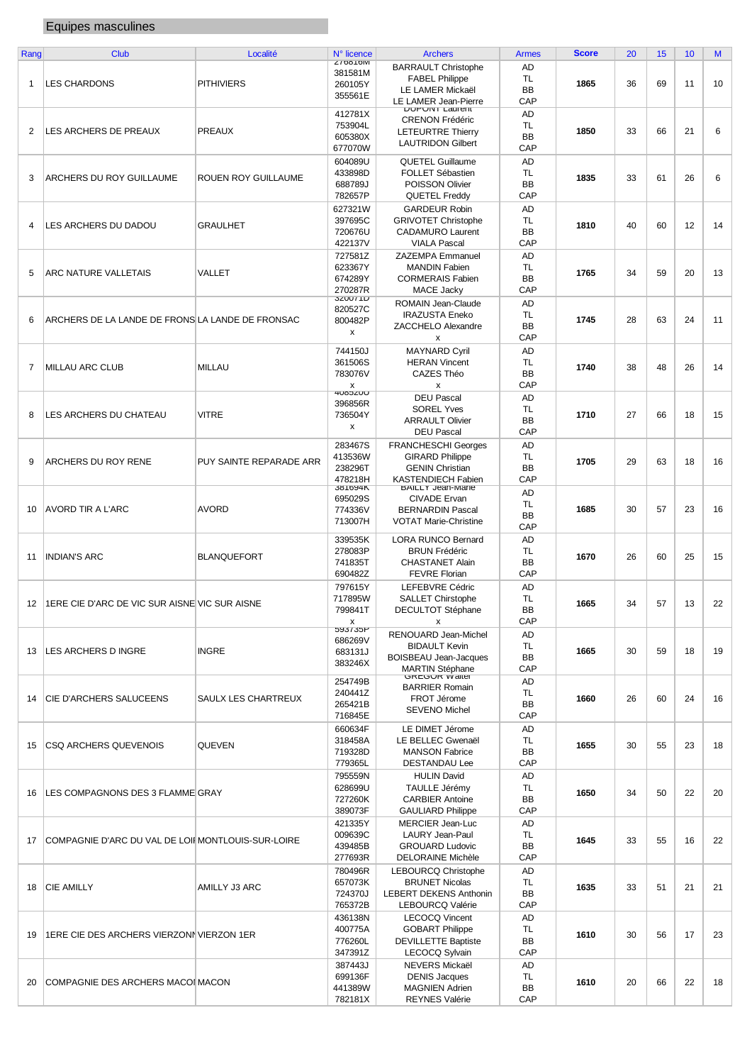## Equipes masculines

| Rang | <b>Club</b>                                        | Localité                   | N° licence     | <b>Archers</b>                                 | <b>Armes</b> | <b>Score</b> | 20 | 15 | 10 | M  |
|------|----------------------------------------------------|----------------------------|----------------|------------------------------------------------|--------------|--------------|----|----|----|----|
|      |                                                    |                            | 210010         |                                                |              |              |    |    |    |    |
|      |                                                    |                            | 381581M        | <b>BARRAULT Christophe</b>                     | AD           |              |    |    |    |    |
|      | <b>LES CHARDONS</b>                                |                            |                | <b>FABEL Philippe</b>                          | TL           |              |    |    |    |    |
| 1    |                                                    | <b>PITHIVIERS</b>          | 260105Y        | LE LAMER Mickaël                               | <b>BB</b>    | 1865         | 36 | 69 | 11 | 10 |
|      |                                                    |                            | 355561E        |                                                |              |              |    |    |    |    |
|      |                                                    |                            |                | LE LAMER Jean-Pierre                           | CAP          |              |    |    |    |    |
|      |                                                    |                            | 412781X        | <b>DUPUNI Laurent</b>                          | AD           |              |    |    |    |    |
|      |                                                    |                            |                | <b>CRENON Frédéric</b>                         |              |              |    |    |    |    |
| 2    | LES ARCHERS DE PREAUX                              | <b>PREAUX</b>              | 753904L        | <b>LETEURTRE Thierry</b>                       | TL           | 1850         | 33 | 66 | 21 | 6  |
|      |                                                    |                            | 605380X        |                                                | <b>BB</b>    |              |    |    |    |    |
|      |                                                    |                            | 677070W        | <b>LAUTRIDON Gilbert</b>                       | CAP          |              |    |    |    |    |
|      |                                                    |                            |                |                                                |              |              |    |    |    |    |
|      |                                                    |                            | 604089U        | <b>QUETEL Guillaume</b>                        | AD           |              |    |    |    |    |
|      |                                                    |                            | 433898D        | FOLLET Sébastien                               | <b>TL</b>    |              |    |    |    |    |
| 3    | ARCHERS DU ROY GUILLAUME                           | <b>ROUEN ROY GUILLAUME</b> | 688789J        | POISSON Olivier                                | <b>BB</b>    | 1835         | 33 | 61 | 26 | 6  |
|      |                                                    |                            |                |                                                |              |              |    |    |    |    |
|      |                                                    |                            | 782657P        | <b>QUETEL Freddy</b>                           | CAP          |              |    |    |    |    |
|      |                                                    |                            | 627321W        | <b>GARDEUR Robin</b>                           | AD           |              |    |    |    |    |
|      |                                                    |                            |                |                                                |              |              |    |    |    |    |
| 4    | LES ARCHERS DU DADOU                               | <b>GRAULHET</b>            | 397695C        | <b>GRIVOTET Christophe</b>                     | TL           | 1810         | 40 | 60 | 12 | 14 |
|      |                                                    |                            | 720676U        | <b>CADAMURO Laurent</b>                        | <b>BB</b>    |              |    |    |    |    |
|      |                                                    |                            | 422137V        | <b>VIALA Pascal</b>                            | CAP          |              |    |    |    |    |
|      |                                                    |                            |                |                                                |              |              |    |    |    |    |
|      |                                                    |                            | 727581Z        | <b>ZAZEMPA Emmanuel</b>                        | AD           |              |    |    |    |    |
|      |                                                    |                            | 623367Y        | <b>MANDIN Fabien</b>                           | TL           |              |    |    |    |    |
| 5    | ARC NATURE VALLETAIS                               | VALLET                     | 674289Y        | <b>CORMERAIS Fabien</b>                        | <b>BB</b>    | 1765         | 34 | 59 | 20 | 13 |
|      |                                                    |                            |                |                                                |              |              |    |    |    |    |
|      |                                                    |                            | 270287R        | MACE Jacky                                     | CAP          |              |    |    |    |    |
|      |                                                    |                            | <b>JZUUTID</b> | ROMAIN Jean-Claude                             | AD           |              |    |    |    |    |
|      |                                                    |                            | 820527C        |                                                |              |              |    |    |    |    |
| 6    | ARCHERS DE LA LANDE DE FRONS LA LANDE DE FRONSAC   |                            | 800482P        | <b>IRAZUSTA Eneko</b>                          | TL           | 1745         | 28 | 63 | 24 | 11 |
|      |                                                    |                            |                | ZACCHELO Alexandre                             | <b>BB</b>    |              |    |    |    |    |
|      |                                                    |                            | x              | x                                              | CAP          |              |    |    |    |    |
|      |                                                    |                            |                |                                                |              |              |    |    |    |    |
|      |                                                    |                            | 744150J        | <b>MAYNARD Cyril</b>                           | AD           |              |    |    |    |    |
|      |                                                    |                            | 361506S        | <b>HERAN Vincent</b>                           | TL           |              |    |    |    |    |
| 7    | <b>MILLAU ARC CLUB</b>                             | <b>MILLAU</b>              |                |                                                | <b>BB</b>    | 1740         | 38 | 48 | 26 | 14 |
|      |                                                    |                            | 783076V        | CAZES Théo                                     |              |              |    |    |    |    |
|      |                                                    |                            | X              | X                                              | CAP          |              |    |    |    |    |
|      |                                                    |                            | <b>HUODZUU</b> | <b>DEU Pascal</b>                              | AD           |              |    |    |    |    |
|      |                                                    |                            | 396856R        |                                                |              |              |    |    |    |    |
| 8    | LES ARCHERS DU CHATEAU                             | <b>VITRE</b>               | 736504Y        | <b>SOREL Yves</b>                              | TL           | 1710         | 27 | 66 | 18 | 15 |
|      |                                                    |                            |                | <b>ARRAULT Olivier</b>                         | <b>BB</b>    |              |    |    |    |    |
|      |                                                    |                            | x              | <b>DEU Pascal</b>                              | CAP          |              |    |    |    |    |
|      |                                                    |                            |                |                                                |              |              |    |    |    |    |
|      |                                                    |                            | 283467S        | <b>FRANCHESCHI Georges</b>                     | AD           |              |    |    |    |    |
|      |                                                    |                            | 413536W        | <b>GIRARD Philippe</b>                         | TL           |              |    |    |    |    |
| 9    | ARCHERS DU ROY RENE                                | PUY SAINTE REPARADE ARR    |                |                                                |              | 1705         | 29 | 63 | 18 | 16 |
|      |                                                    |                            | 238296T        | <b>GENIN Christian</b>                         | <b>BB</b>    |              |    |    |    |    |
|      |                                                    |                            | 478218H        | KASTENDIECH Fabien                             | CAP          |              |    |    |    |    |
|      |                                                    |                            | <b>JO1094N</b> | <b>DAILLT JEAN-MANE</b>                        |              |              |    |    |    |    |
|      |                                                    |                            | 695029S        | CIVADE Ervan                                   | AD           |              |    |    |    |    |
|      |                                                    |                            |                |                                                | TL           |              |    |    |    |    |
| 10   | AVORD TIR A L'ARC                                  | <b>AVORD</b>               | 774336V        | <b>BERNARDIN Pascal</b>                        | BB           | 1685         | 30 | 57 | 23 | 16 |
|      |                                                    |                            | 713007H        | <b>VOTAT Marie-Christine</b>                   |              |              |    |    |    |    |
|      |                                                    |                            |                |                                                | CAP          |              |    |    |    |    |
|      |                                                    |                            | 339535K        | LORA RUNCO Bernard                             | AD           |              |    |    |    |    |
|      |                                                    |                            | 278083P        | <b>BRUN Frédéric</b>                           | TL           |              |    |    |    |    |
| 11   | <b>INDIAN'S ARC</b>                                | <b>BLANQUEFORT</b>         |                |                                                |              | 1670         | 26 | 60 | 25 | 15 |
|      |                                                    |                            | 741835T        | <b>CHASTANET Alain</b>                         | <b>BB</b>    |              |    |    |    |    |
|      |                                                    |                            | 690482Z        | <b>FEVRE Florian</b>                           | CAP          |              |    |    |    |    |
|      |                                                    |                            |                |                                                |              |              |    |    |    |    |
|      |                                                    |                            | 797615Y        | LEFEBVRE Cédric                                | AD           |              |    |    |    |    |
|      |                                                    |                            | 717895W        | <b>SALLET Chirstophe</b>                       | TL           |              |    |    |    |    |
| 12   | 1ERE CIE D'ARC DE VIC SUR AISNE VIC SUR AISNE      |                            | 799841T        | DECULTOT Stéphane                              | <b>BB</b>    | 1665         | 34 | 57 | 13 | 22 |
|      |                                                    |                            |                |                                                |              |              |    |    |    |    |
|      |                                                    |                            | x              | х                                              | CAP          |              |    |    |    |    |
|      |                                                    |                            | <b>JASISAC</b> | RENOUARD Jean-Michel                           | AD           |              |    |    |    |    |
|      |                                                    |                            | 686269V        | <b>BIDAULT Kevin</b>                           |              |              |    |    |    |    |
| 13   | LES ARCHERS D INGRE                                | <b>INGRE</b>               | 683131J        |                                                | TL.          | 1665         | 30 | 59 | 18 | 19 |
|      |                                                    |                            | 383246X        | BOISBEAU Jean-Jacques                          | BB           |              |    |    |    |    |
|      |                                                    |                            |                |                                                | CAP          |              |    |    |    |    |
|      |                                                    |                            |                | <b>MARTIN Stéphane</b><br><b>GREGOR Walter</b> |              |              |    |    |    |    |
|      |                                                    |                            | 254749B        | <b>BARRIER Romain</b>                          | AD           |              |    |    |    |    |
|      |                                                    |                            | 240441Z        |                                                | TL           |              |    | 60 | 24 | 16 |
| 14   | CIE D'ARCHERS SALUCEENS                            | SAULX LES CHARTREUX        | 265421B        | FROT Jérome                                    | BB           | 1660         | 26 |    |    |    |
|      |                                                    |                            |                | <b>SEVENO Michel</b>                           |              |              |    |    |    |    |
|      |                                                    |                            | 716845E        |                                                | CAP          |              |    |    |    |    |
|      |                                                    |                            | 660634F        | LE DIMET Jérome                                | AD           |              |    |    |    |    |
|      |                                                    |                            | 318458A        | LE BELLEC Gwenaël                              | <b>TL</b>    |              |    |    |    |    |
| 15   | <b>CSQ ARCHERS QUEVENOIS</b>                       | QUEVEN                     |                |                                                |              | 1655         | 30 | 55 | 23 | 18 |
|      |                                                    |                            | 719328D        | <b>MANSON Fabrice</b>                          | <b>BB</b>    |              |    |    |    |    |
|      |                                                    |                            | 779365L        | <b>DESTANDAU Lee</b>                           | CAP          |              |    |    |    |    |
|      |                                                    |                            | 795559N        | <b>HULIN David</b>                             | AD           |              |    |    |    |    |
|      |                                                    |                            |                |                                                |              |              |    |    |    |    |
| 16   | LES COMPAGNONS DES 3 FLAMME GRAY                   |                            | 628699U        | TAULLE Jérémy                                  | TL.          | 1650         | 34 | 50 | 22 | 20 |
|      |                                                    |                            | 727260K        | <b>CARBIER Antoine</b>                         | BB           |              |    |    |    |    |
|      |                                                    |                            | 389073F        | <b>GAULIARD Philippe</b>                       | CAP          |              |    |    |    |    |
|      |                                                    |                            |                |                                                |              |              |    |    |    |    |
|      |                                                    |                            | 421335Y        | <b>MERCIER Jean-Luc</b>                        | AD           |              |    |    |    |    |
|      |                                                    |                            | 009639C        | LAURY Jean-Paul                                | TL.          |              |    |    |    |    |
| 17   | COMPAGNIE D'ARC DU VAL DE LOII MONTLOUIS-SUR-LOIRE |                            |                |                                                |              | 1645         | 33 | 55 | 16 | 22 |
|      |                                                    |                            | 439485B        | <b>GROUARD Ludovic</b>                         | BB           |              |    |    |    |    |
|      |                                                    |                            | 277693R        | <b>DELORAINE Michèle</b>                       | CAP          |              |    |    |    |    |
|      |                                                    |                            | 780496R        |                                                | AD           |              |    |    |    |    |
|      |                                                    |                            |                | <b>LEBOURCQ Christophe</b>                     |              |              |    |    |    |    |
| 18   | <b>CIE AMILLY</b>                                  | AMILLY J3 ARC              | 657073K        | <b>BRUNET Nicolas</b>                          | TL           | 1635         | 33 | 51 | 21 | 21 |
|      |                                                    |                            | 724370J        | <b>LEBERT DEKENS Anthonin</b>                  | <b>BB</b>    |              |    |    |    |    |
|      |                                                    |                            | 765372B        | LEBOURCQ Valérie                               | CAP          |              |    |    |    |    |
|      |                                                    |                            |                |                                                |              |              |    |    |    |    |
|      |                                                    |                            | 436138N        | <b>LECOCQ Vincent</b>                          | AD           |              |    |    |    |    |
|      |                                                    |                            | 400775A        | <b>GOBART Philippe</b>                         | TL           |              |    |    |    |    |
| 19   | 1ERE CIE DES ARCHERS VIERZONN VIERZON 1ER          |                            |                |                                                |              | 1610         | 30 | 56 | 17 | 23 |
|      |                                                    |                            | 776260L        | <b>DEVILLETTE Baptiste</b>                     | <b>BB</b>    |              |    |    |    |    |
|      |                                                    |                            | 347391Z        | LECOCQ Sylvain                                 | CAP          |              |    |    |    |    |
|      |                                                    |                            |                |                                                |              |              |    |    |    |    |
|      |                                                    |                            | 387443J        | NEVERS Mickaël                                 | AD           |              |    |    |    |    |
|      |                                                    |                            | 699136F        | <b>DENIS Jacques</b>                           | TL.          | 1610         | 20 | 66 | 22 | 18 |
| 20   | COMPAGNIE DES ARCHERS MACOI MACON                  |                            | 441389W        | <b>MAGNIEN Adrien</b>                          | <b>BB</b>    |              |    |    |    |    |
|      |                                                    |                            |                |                                                | CAP          |              |    |    |    |    |
|      |                                                    |                            | 782181X        | <b>REYNES Valérie</b>                          |              |              |    |    |    |    |